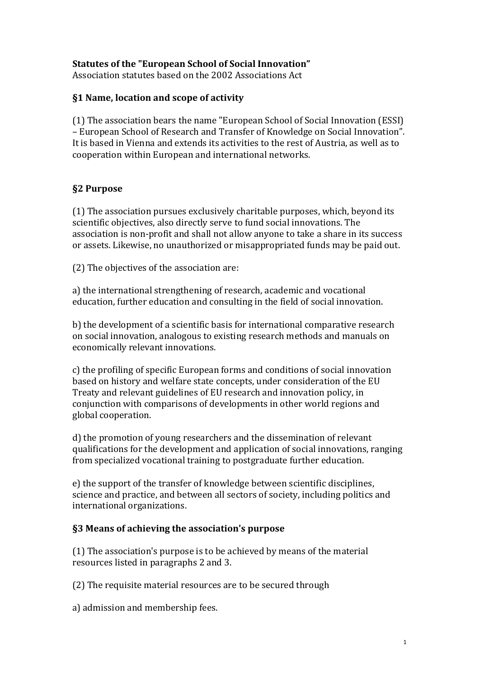### **Statutes of the "European School of Social Innovation"**

Association statutes based on the 2002 Associations Act

### **§1 Name, location and scope of activity**

(1) The association bears the name "European School of Social Innovation (ESSI) – European School of Research and Transfer of Knowledge on Social Innovation". It is based in Vienna and extends its activities to the rest of Austria, as well as to cooperation within European and international networks.

#### **§2 Purpose**

(1) The association pursues exclusively charitable purposes, which, beyond its scientific objectives, also directly serve to fund social innovations. The association is non-profit and shall not allow anyone to take a share in its success or assets. Likewise, no unauthorized or misappropriated funds may be paid out.

(2) The objectives of the association are:

a) the international strengthening of research, academic and vocational education, further education and consulting in the field of social innovation.

b) the development of a scientific basis for international comparative research on social innovation, analogous to existing research methods and manuals on economically relevant innovations.

c) the profiling of specific European forms and conditions of social innovation based on history and welfare state concepts, under consideration of the EU Treaty and relevant guidelines of EU research and innovation policy, in conjunction with comparisons of developments in other world regions and global cooperation.

d) the promotion of young researchers and the dissemination of relevant qualifications for the development and application of social innovations, ranging from specialized vocational training to postgraduate further education.

e) the support of the transfer of knowledge between scientific disciplines, science and practice, and between all sectors of society, including politics and international organizations.

#### **§3 Means of achieving the association's purpose**

(1) The association's purpose is to be achieved by means of the material resources listed in paragraphs 2 and 3.

(2) The requisite material resources are to be secured through

a) admission and membership fees.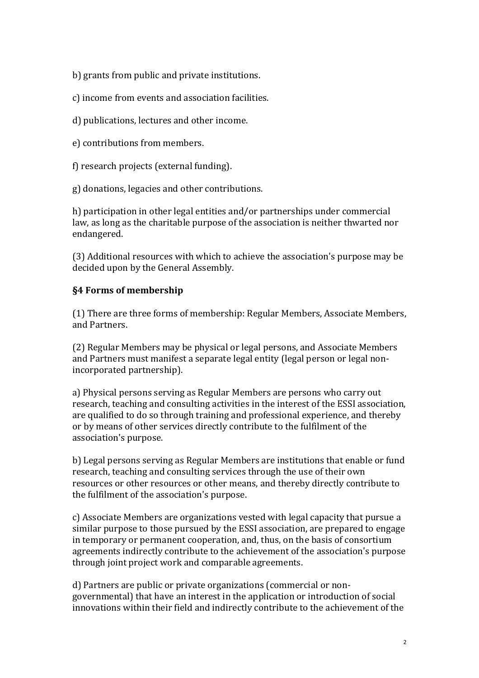b) grants from public and private institutions.

c) income from events and association facilities.

- d) publications, lectures and other income.
- e) contributions from members.

f) research projects (external funding).

g) donations, legacies and other contributions.

h) participation in other legal entities and/or partnerships under commercial law, as long as the charitable purpose of the association is neither thwarted nor endangered.

(3) Additional resources with which to achieve the association's purpose may be decided upon by the General Assembly.

## **§4 Forms of membership**

(1) There are three forms of membership: Regular Members, Associate Members, and Partners.

(2) Regular Members may be physical or legal persons, and Associate Members and Partners must manifest a separate legal entity (legal person or legal nonincorporated partnership).

a) Physical persons serving as Regular Members are persons who carry out research, teaching and consulting activities in the interest of the ESSI association, are qualified to do so through training and professional experience, and thereby or by means of other services directly contribute to the fulfilment of the association's purpose.

b) Legal persons serving as Regular Members are institutions that enable or fund research, teaching and consulting services through the use of their own resources or other resources or other means, and thereby directly contribute to the fulfilment of the association's purpose.

c) Associate Members are organizations vested with legal capacity that pursue a similar purpose to those pursued by the ESSI association, are prepared to engage in temporary or permanent cooperation, and, thus, on the basis of consortium agreements indirectly contribute to the achievement of the association's purpose through joint project work and comparable agreements.

d) Partners are public or private organizations (commercial or nongovernmental) that have an interest in the application or introduction of social innovations within their field and indirectly contribute to the achievement of the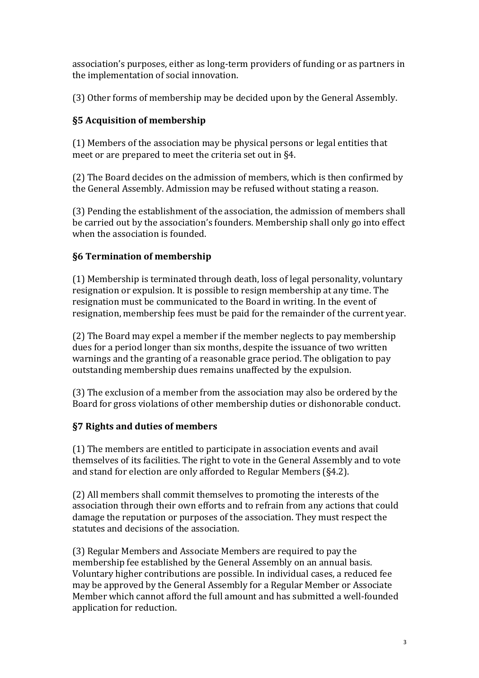association's purposes, either as long-term providers of funding or as partners in the implementation of social innovation.

(3) Other forms of membership may be decided upon by the General Assembly.

# **§5 Acquisition of membership**

(1) Members of the association may be physical persons or legal entities that meet or are prepared to meet the criteria set out in §4.

(2) The Board decides on the admission of members, which is then confirmed by the General Assembly. Admission may be refused without stating a reason.

(3) Pending the establishment of the association, the admission of members shall be carried out by the association's founders. Membership shall only go into effect when the association is founded.

# **§6 Termination of membership**

(1) Membership is terminated through death, loss of legal personality, voluntary resignation or expulsion. It is possible to resign membership at any time. The resignation must be communicated to the Board in writing. In the event of resignation, membership fees must be paid for the remainder of the current year.

(2) The Board may expel a member if the member neglects to pay membership dues for a period longer than six months, despite the issuance of two written warnings and the granting of a reasonable grace period. The obligation to pay outstanding membership dues remains unaffected by the expulsion.

(3) The exclusion of a member from the association may also be ordered by the Board for gross violations of other membership duties or dishonorable conduct.

# **§7 Rights and duties of members**

(1) The members are entitled to participate in association events and avail themselves of its facilities. The right to vote in the General Assembly and to vote and stand for election are only afforded to Regular Members (§4.2).

(2) All members shall commit themselves to promoting the interests of the association through their own efforts and to refrain from any actions that could damage the reputation or purposes of the association. They must respect the statutes and decisions of the association.

(3) Regular Members and Associate Members are required to pay the membership fee established by the General Assembly on an annual basis. Voluntary higher contributions are possible. In individual cases, a reduced fee may be approved by the General Assembly for a Regular Member or Associate Member which cannot afford the full amount and has submitted a well-founded application for reduction.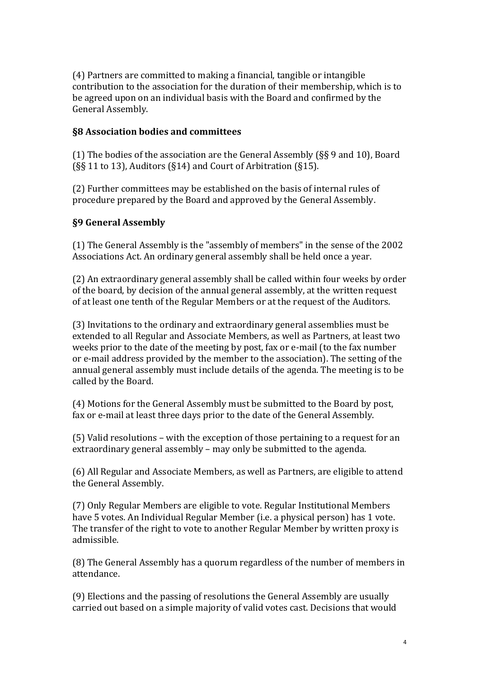(4) Partners are committed to making a financial, tangible or intangible contribution to the association for the duration of their membership, which is to be agreed upon on an individual basis with the Board and confirmed by the General Assembly.

### **§8 Association bodies and committees**

(1) The bodies of the association are the General Assembly (§§ 9 and 10), Board (§§ 11 to 13), Auditors (§14) and Court of Arbitration (§15).

(2) Further committees may be established on the basis of internal rules of procedure prepared by the Board and approved by the General Assembly.

### **§9 General Assembly**

(1) The General Assembly is the "assembly of members" in the sense of the 2002 Associations Act. An ordinary general assembly shall be held once a year.

(2) An extraordinary general assembly shall be called within four weeks by order of the board, by decision of the annual general assembly, at the written request of at least one tenth of the Regular Members or at the request of the Auditors.

(3) Invitations to the ordinary and extraordinary general assemblies must be extended to all Regular and Associate Members, as well as Partners, at least two weeks prior to the date of the meeting by post, fax or e-mail (to the fax number or e-mail address provided by the member to the association). The setting of the annual general assembly must include details of the agenda. The meeting is to be called by the Board.

(4) Motions for the General Assembly must be submitted to the Board by post, fax or e-mail at least three days prior to the date of the General Assembly.

(5) Valid resolutions – with the exception of those pertaining to a request for an extraordinary general assembly – may only be submitted to the agenda.

(6) All Regular and Associate Members, as well as Partners, are eligible to attend the General Assembly.

(7) Only Regular Members are eligible to vote. Regular Institutional Members have 5 votes. An Individual Regular Member (i.e. a physical person) has 1 vote. The transfer of the right to vote to another Regular Member by written proxy is admissible.

(8) The General Assembly has a quorum regardless of the number of members in attendance.

(9) Elections and the passing of resolutions the General Assembly are usually carried out based on a simple majority of valid votes cast. Decisions that would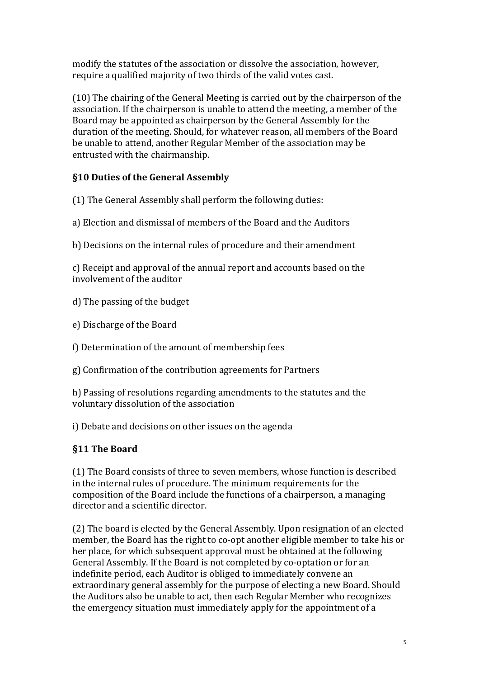modify the statutes of the association or dissolve the association, however, require a qualified majority of two thirds of the valid votes cast.

(10) The chairing of the General Meeting is carried out by the chairperson of the association. If the chairperson is unable to attend the meeting, a member of the Board may be appointed as chairperson by the General Assembly for the duration of the meeting. Should, for whatever reason, all members of the Board be unable to attend, another Regular Member of the association may be entrusted with the chairmanship.

# **§10 Duties of the General Assembly**

(1) The General Assembly shall perform the following duties:

- a) Election and dismissal of members of the Board and the Auditors
- b) Decisions on the internal rules of procedure and their amendment

c) Receipt and approval of the annual report and accounts based on the involvement of the auditor

- d) The passing of the budget
- e) Discharge of the Board
- f) Determination of the amount of membership fees
- g) Confirmation of the contribution agreements for Partners

h) Passing of resolutions regarding amendments to the statutes and the voluntary dissolution of the association

i) Debate and decisions on other issues on the agenda

## **§11 The Board**

(1) The Board consists of three to seven members, whose function is described in the internal rules of procedure. The minimum requirements for the composition of the Board include the functions of a chairperson, a managing director and a scientific director.

(2) The board is elected by the General Assembly. Upon resignation of an elected member, the Board has the right to co-opt another eligible member to take his or her place, for which subsequent approval must be obtained at the following General Assembly. If the Board is not completed by co-optation or for an indefinite period, each Auditor is obliged to immediately convene an extraordinary general assembly for the purpose of electing a new Board. Should the Auditors also be unable to act, then each Regular Member who recognizes the emergency situation must immediately apply for the appointment of a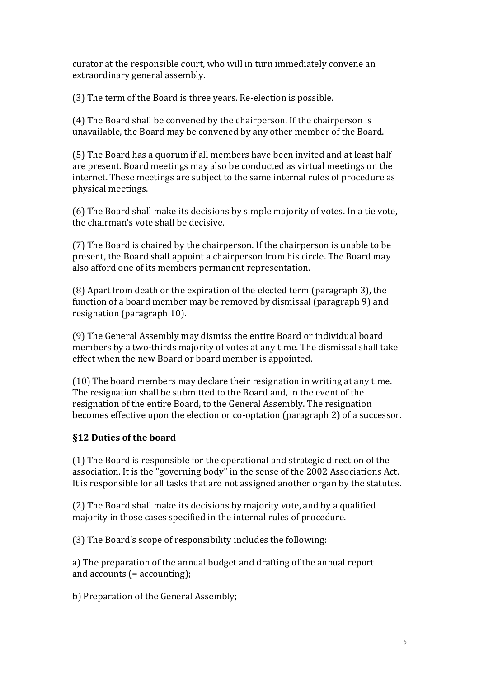curator at the responsible court, who will in turn immediately convene an extraordinary general assembly.

(3) The term of the Board is three years. Re-election is possible.

(4) The Board shall be convened by the chairperson. If the chairperson is unavailable, the Board may be convened by any other member of the Board.

(5) The Board has a quorum if all members have been invited and at least half are present. Board meetings may also be conducted as virtual meetings on the internet. These meetings are subject to the same internal rules of procedure as physical meetings.

(6) The Board shall make its decisions by simple majority of votes. In a tie vote, the chairman's vote shall be decisive.

(7) The Board is chaired by the chairperson. If the chairperson is unable to be present, the Board shall appoint a chairperson from his circle. The Board may also afford one of its members permanent representation.

(8) Apart from death or the expiration of the elected term (paragraph 3), the function of a board member may be removed by dismissal (paragraph 9) and resignation (paragraph 10).

(9) The General Assembly may dismiss the entire Board or individual board members by a two-thirds majority of votes at any time. The dismissal shall take effect when the new Board or board member is appointed.

(10) The board members may declare their resignation in writing at any time. The resignation shall be submitted to the Board and, in the event of the resignation of the entire Board, to the General Assembly. The resignation becomes effective upon the election or co-optation (paragraph 2) of a successor.

## **§12 Duties of the board**

(1) The Board is responsible for the operational and strategic direction of the association. It is the "governing body" in the sense of the 2002 Associations Act. It is responsible for all tasks that are not assigned another organ by the statutes.

(2) The Board shall make its decisions by majority vote, and by a qualified majority in those cases specified in the internal rules of procedure.

(3) The Board's scope of responsibility includes the following:

a) The preparation of the annual budget and drafting of the annual report and accounts (= accounting);

b) Preparation of the General Assembly;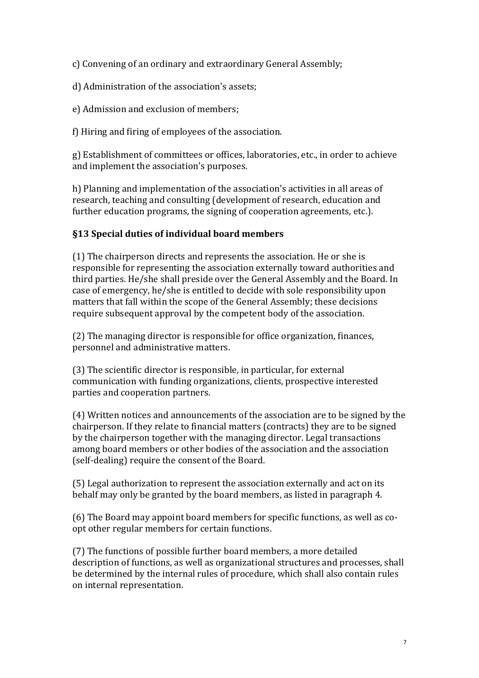c) Convening of an ordinary and extraordinary General Assembly;

d) Administration of the association's assets;

e) Admission and exclusion of members;

f) Hiring and firing of employees of the association.

g) Establishment of committees or offices, laboratories, etc., in order to achieve and implement the association's purposes.

h) Planning and implementation of the association's activities in all areas of research, teaching and consulting (development of research, education and further education programs, the signing of cooperation agreements, etc.).

# **§13 Special duties of individual board members**

(1) The chairperson directs and represents the association. He or she is responsible for representing the association externally toward authorities and third parties. He/she shall preside over the General Assembly and the Board. In case of emergency, he/she is entitled to decide with sole responsibility upon matters that fall within the scope of the General Assembly; these decisions require subsequent approval by the competent body of the association.

(2) The managing director is responsible for office organization, finances, personnel and administrative matters.

(3) The scientific director is responsible, in particular, for external communication with funding organizations, clients, prospective interested parties and cooperation partners.

(4) Written notices and announcements of the association are to be signed by the chairperson. If they relate to financial matters (contracts) they are to be signed by the chairperson together with the managing director. Legal transactions among board members or other bodies of the association and the association (self-dealing) require the consent of the Board.

(5) Legal authorization to represent the association externally and act on its behalf may only be granted by the board members, as listed in paragraph 4.

(6) The Board may appoint board members for specific functions, as well as coopt other regular members for certain functions.

(7) The functions of possible further board members, a more detailed description of functions, as well as organizational structures and processes, shall be determined by the internal rules of procedure, which shall also contain rules on internal representation.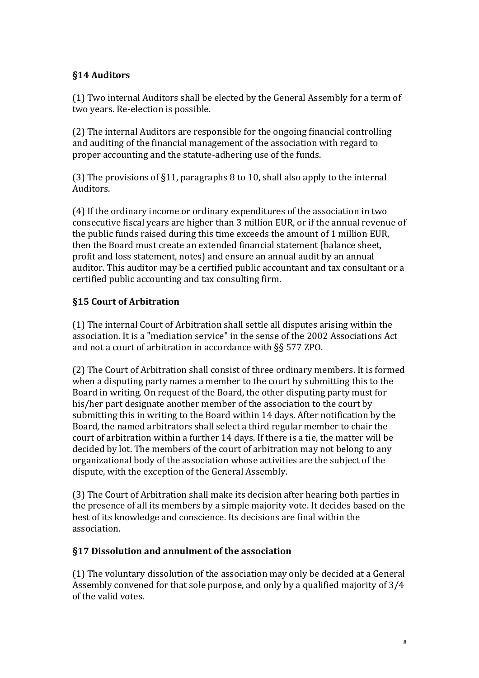## **§14 Auditors**

(1) Two internal Auditors shall be elected by the General Assembly for a term of two years. Re-election is possible.

(2) The internal Auditors are responsible for the ongoing financial controlling and auditing of the financial management of the association with regard to proper accounting and the statute-adhering use of the funds.

(3) The provisions of §11, paragraphs 8 to 10, shall also apply to the internal Auditors.

(4) If the ordinary income or ordinary expenditures of the association in two consecutive fiscal years are higher than 3 million EUR, or if the annual revenue of the public funds raised during this time exceeds the amount of 1 million EUR, then the Board must create an extended financial statement (balance sheet, profit and loss statement, notes) and ensure an annual audit by an annual auditor. This auditor may be a certified public accountant and tax consultant or a certified public accounting and tax consulting firm.

# **§15 Court of Arbitration**

(1) The internal Court of Arbitration shall settle all disputes arising within the association. It is a "mediation service" in the sense of the 2002 Associations Act and not a court of arbitration in accordance with §§ 577 ZPO.

(2) The Court of Arbitration shall consist of three ordinary members. It is formed when a disputing party names a member to the court by submitting this to the Board in writing. On request of the Board, the other disputing party must for his/her part designate another member of the association to the court by submitting this in writing to the Board within 14 days. After notification by the Board, the named arbitrators shall select a third regular member to chair the court of arbitration within a further 14 days. If there is a tie, the matter will be decided by lot. The members of the court of arbitration may not belong to any organizational body of the association whose activities are the subject of the dispute, with the exception of the General Assembly.

(3) The Court of Arbitration shall make its decision after hearing both parties in the presence of all its members by a simple majority vote. It decides based on the best of its knowledge and conscience. Its decisions are final within the association.

## **§17 Dissolution and annulment of the association**

(1) The voluntary dissolution of the association may only be decided at a General Assembly convened for that sole purpose, and only by a qualified majority of 3/4 of the valid votes.